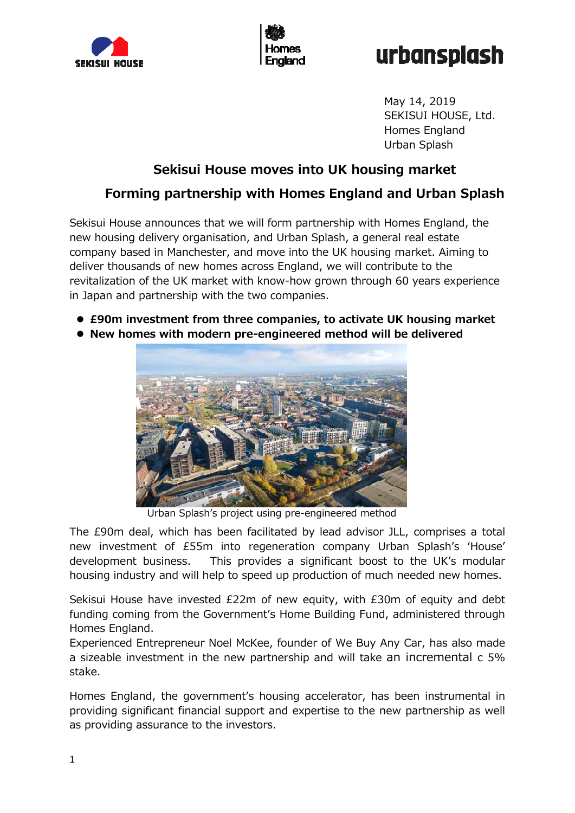



# urbansplash

May 14, 2019 SEKISUI HOUSE, Ltd. Homes England Urban Splash

# **Sekisui House moves into UK housing market Forming partnership with Homes England and Urban Splash**

Sekisui House announces that we will form partnership with Homes England, the new housing delivery organisation, and Urban Splash, a general real estate company based in Manchester, and move into the UK housing market. Aiming to deliver thousands of new homes across England, we will contribute to the revitalization of the UK market with know-how grown through 60 years experience in Japan and partnership with the two companies.

- **£90m investment from three companies, to activate UK housing market**
- **New homes with modern pre-engineered method will be delivered**



Urban Splash's project using pre-engineered method

The £90m deal, which has been facilitated by lead advisor JLL, comprises a total new investment of £55m into regeneration company Urban Splash's ʻHouse' development business. This provides a significant boost to the UK's modular housing industry and will help to speed up production of much needed new homes.

Sekisui House have invested £22m of new equity, with £30m of equity and debt funding coming from the Government's Home Building Fund, administered through Homes England.

Experienced Entrepreneur Noel McKee, founder of We Buy Any Car, has also made a sizeable investment in the new partnership and will take an incremental c 5% stake.

Homes England, the government's housing accelerator, has been instrumental in providing significant financial support and expertise to the new partnership as well as providing assurance to the investors.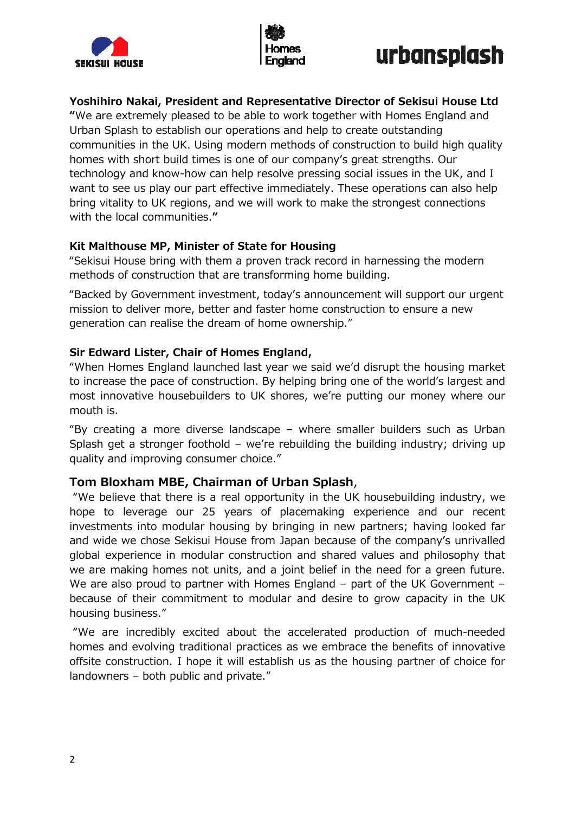





# **Yoshihiro Nakai, President and Representative Director of Sekisui House Ltd**

**"**We are extremely pleased to be able to work together with Homes England and Urban Splash to establish our operations and help to create outstanding communities in the UK. Using modern methods of construction to build high quality homes with short build times is one of our company's great strengths. Our technology and know-how can help resolve pressing social issues in the UK, and I want to see us play our part effective immediately. These operations can also help bring vitality to UK regions, and we will work to make the strongest connections with the local communities.**"** 

### **Kit Malthouse MP, Minister of State for Housing**

"Sekisui House bring with them a proven track record in harnessing the modern methods of construction that are transforming home building.

"Backed by Government investment, today's announcement will support our urgent mission to deliver more, better and faster home construction to ensure a new generation can realise the dream of home ownership."

### **Sir Edward Lister, Chair of Homes England,**

"When Homes England launched last year we said we'd disrupt the housing market to increase the pace of construction. By helping bring one of the world's largest and most innovative housebuilders to UK shores, we're putting our money where our mouth is.

"By creating a more diverse landscape – where smaller builders such as Urban Splash get a stronger foothold – we're rebuilding the building industry; driving up quality and improving consumer choice."

### **Tom Bloxham MBE, Chairman of Urban Splash**,

 "We believe that there is a real opportunity in the UK housebuilding industry, we hope to leverage our 25 years of placemaking experience and our recent investments into modular housing by bringing in new partners; having looked far and wide we chose Sekisui House from Japan because of the company's unrivalled global experience in modular construction and shared values and philosophy that we are making homes not units, and a joint belief in the need for a green future. We are also proud to partner with Homes England – part of the UK Government – because of their commitment to modular and desire to grow capacity in the UK housing business."

 "We are incredibly excited about the accelerated production of much-needed homes and evolving traditional practices as we embrace the benefits of innovative offsite construction. I hope it will establish us as the housing partner of choice for landowners – both public and private."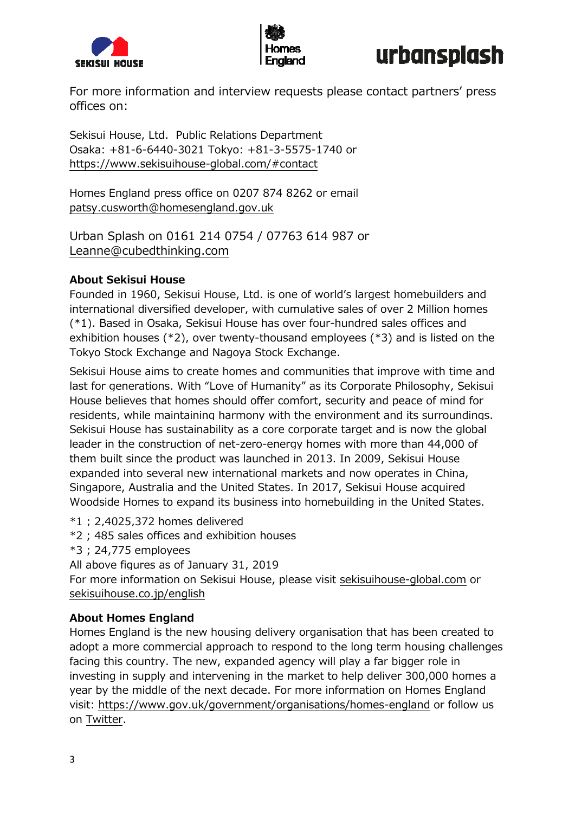



# urbansplash

For more information and interview requests please contact partners' press offices on:

Sekisui House, Ltd. Public Relations Department Osaka: +81-6-6440-3021 Tokyo: +81-3-5575-1740 or https://www.sekisuihouse-global.com/#contact

Homes England press office on 0207 874 8262 or email patsy.cusworth@homesengland.gov.uk

Urban Splash on 0161 214 0754 / 07763 614 987 or Leanne@cubedthinking.com

### **About Sekisui House**

Founded in 1960, Sekisui House, Ltd. is one of world's largest homebuilders and international diversified developer, with cumulative sales of over 2 Million homes (\*1). Based in Osaka, Sekisui House has over four-hundred sales offices and exhibition houses (\*2), over twenty-thousand employees (\*3) and is listed on the Tokyo Stock Exchange and Nagoya Stock Exchange.

Sekisui House aims to create homes and communities that improve with time and last for generations. With "Love of Humanity" as its Corporate Philosophy, Sekisui House believes that homes should offer comfort, security and peace of mind for residents, while maintaining harmony with the environment and its surroundings. Sekisui House has sustainability as a core corporate target and is now the global leader in the construction of net-zero-energy homes with more than 44,000 of them built since the product was launched in 2013. In 2009, Sekisui House expanded into several new international markets and now operates in China, Singapore, Australia and the United States. In 2017, Sekisui House acquired Woodside Homes to expand its business into homebuilding in the United States.

\*1 ; 2,4025,372 homes delivered

- \*2 ; 485 sales offices and exhibition houses
- \*3 ; 24,775 employees

All above figures as of January 31, 2019

For more information on Sekisui House, please visit sekisuihouse-global.com or sekisuihouse.co.jp/english

# **About Homes England**

Homes England is the new housing delivery organisation that has been created to adopt a more commercial approach to respond to the long term housing challenges facing this country. The new, expanded agency will play a far bigger role in investing in supply and intervening in the market to help deliver 300,000 homes a year by the middle of the next decade. For more information on Homes England visit: https://www.gov.uk/government/organisations/homes-england or follow us on Twitter.